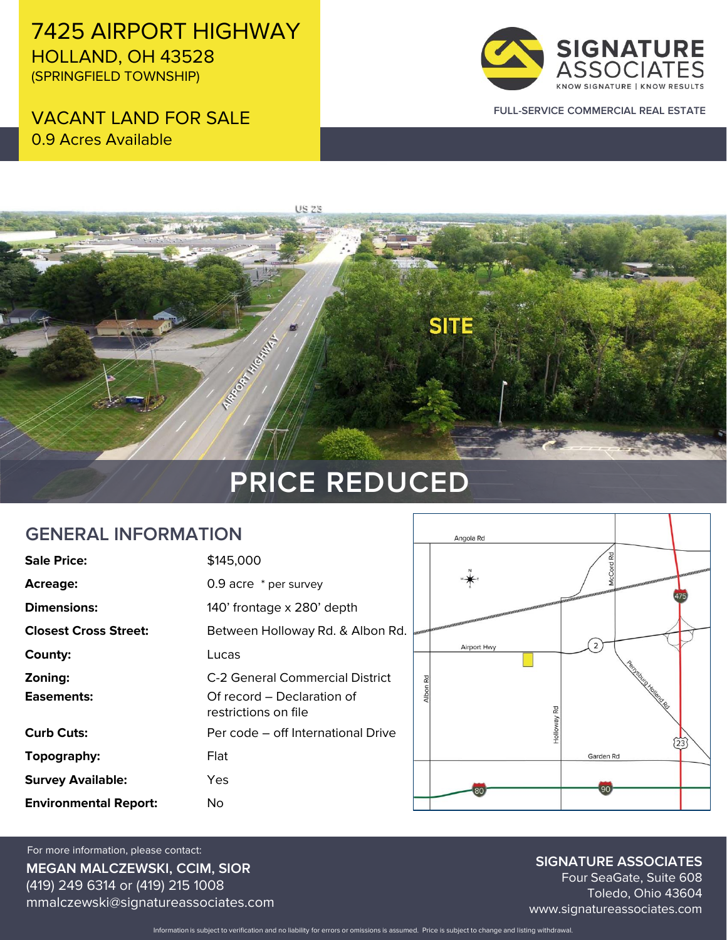7425 AIRPORT HIGHWAY HOLLAND, OH 43528 (SPRINGFIELD TOWNSHIP)

VACANT LAND FOR SALE 0.9 Acres Available



**FULL-SERVICE COMMERCIAL REAL ESTATE**

# **US 23 SITE CONTRACTOR REGISTRATION PRICE REDUCED**

#### **GENERAL INFORMATION**

| <b>Sale Price:</b>           | \$145,000                                          |  |
|------------------------------|----------------------------------------------------|--|
| <b>Acreage:</b>              | 0.9 acre * per survey                              |  |
| <b>Dimensions:</b>           | 140' frontage x 280' depth                         |  |
| <b>Closest Cross Street:</b> | Between Holloway Rd. & Albon Rd.                   |  |
| County:                      | Lucas                                              |  |
| Zoning:                      | C-2 General Commercial District                    |  |
| Easements:                   | Of record – Declaration of<br>restrictions on file |  |
| <b>Curb Cuts:</b>            | Per code – off International Drive                 |  |
| Topography:                  | Flat                                               |  |
| <b>Survey Available:</b>     | Yes                                                |  |
| <b>Environmental Report:</b> | No                                                 |  |



**MEGAN MALCZEWSKI, CCIM, SIOR** (419) 249 6314 or (419) 215 1008 mmalczewski@signatureassociates.com For more information, please contact:

**SIGNATURE ASSOCIATES**

Four SeaGate, Suite 608 Toledo, Ohio 43604 www.signatureassociates.com

Information is subject to verification and no liability for errors or omissions is assumed. Price is subject to change and listing withdrawal.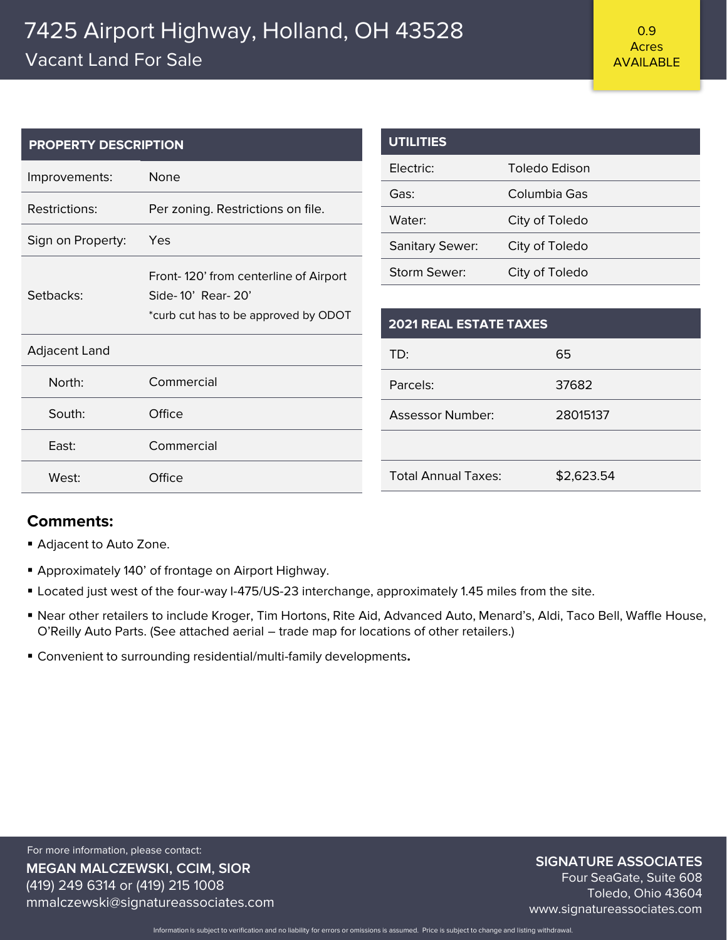### 7425 Airport Highway, Holland, OH 43528 Vacant Land For Sale

| <b>PROPERTY DESCRIPTION</b> |                                       | <b>UTILITIES</b>              |                      |  |
|-----------------------------|---------------------------------------|-------------------------------|----------------------|--|
| Improvements:               | None                                  | Electric:                     | <b>Toledo Edison</b> |  |
|                             | Gas:                                  | Columbia Gas                  |                      |  |
| <b>Restrictions:</b>        | Per zoning. Restrictions on file.     | Water:                        | City of Toledo       |  |
| Sign on Property:           | Yes                                   | <b>Sanitary Sewer:</b>        | City of Toledo       |  |
|                             | Front-120' from centerline of Airport | Storm Sewer:                  | City of Toledo       |  |
| Setbacks:                   | Side-10' Rear-20'                     |                               |                      |  |
|                             | *curb cut has to be approved by ODOT  | <b>2021 REAL ESTATE TAXES</b> |                      |  |
| <b>Adjacent Land</b>        |                                       | TD:                           | 65                   |  |
| North:                      | Commercial                            | Parcels:                      | 37682                |  |
| South:                      | Office                                | <b>Assessor Number:</b>       | 28015137             |  |
| East:                       | Commercial                            |                               |                      |  |
|                             |                                       | <b>Total Annual Taxes:</b>    | \$2,623.54           |  |
| West:                       | Office                                |                               |                      |  |

#### **Comments:**

- Adjacent to Auto Zone.
- **E** Approximately 140' of frontage on Airport Highway.
- **EXECT Located just west of the four-way I-475/US-23 interchange, approximately 1.45 miles from the site.**
- Near other retailers to include Kroger, Tim Hortons, Rite Aid, Advanced Auto, Menard's, Aldi, Taco Bell, Waffle House, O'Reilly Auto Parts. (See attached aerial – trade map for locations of other retailers.)
- Convenient to surrounding residential/multi-family developments**.**

**MEGAN MALCZEWSKI, CCIM, SIOR** (419) 249 6314 or (419) 215 1008 mmalczewski@signatureassociates.com For more information, please contact:

#### **SIGNATURE ASSOCIATES**

Four SeaGate, Suite 608 Toledo, Ohio 43604 www.signatureassociates.com

Information is subject to verification and no liability for errors or omissions is assumed. Price is subject to change and listing withdrawal.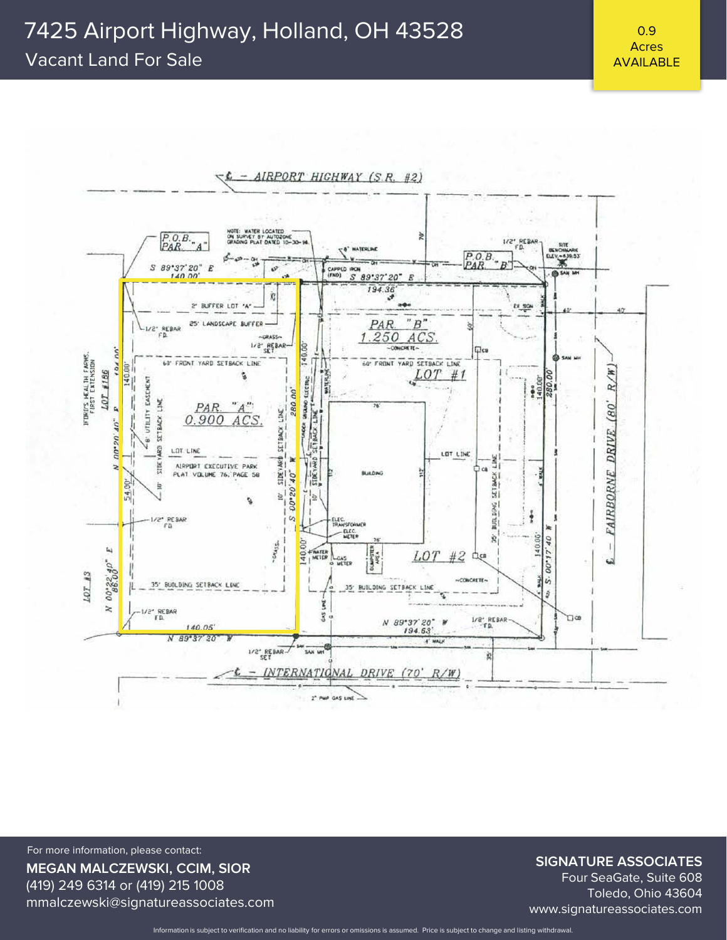## 7425 Airport Highway, Holland, OH 43528

#### Vacant Land For Sale

0.9 Acres AVAILABLE



**MEGAN MALCZEWSKI, CCIM, SIOR** (419) 249 6314 or (419) 215 1008 mmalczewski@signatureassociates.com For more information, please contact:

#### **SIGNATURE ASSOCIATES**

Four SeaGate, Suite 608 Toledo, Ohio 43604 www.signatureassociates.com

Information is subject to verification and no liability for errors or omissions is assumed. Price is subject to change and listing withdrawal.